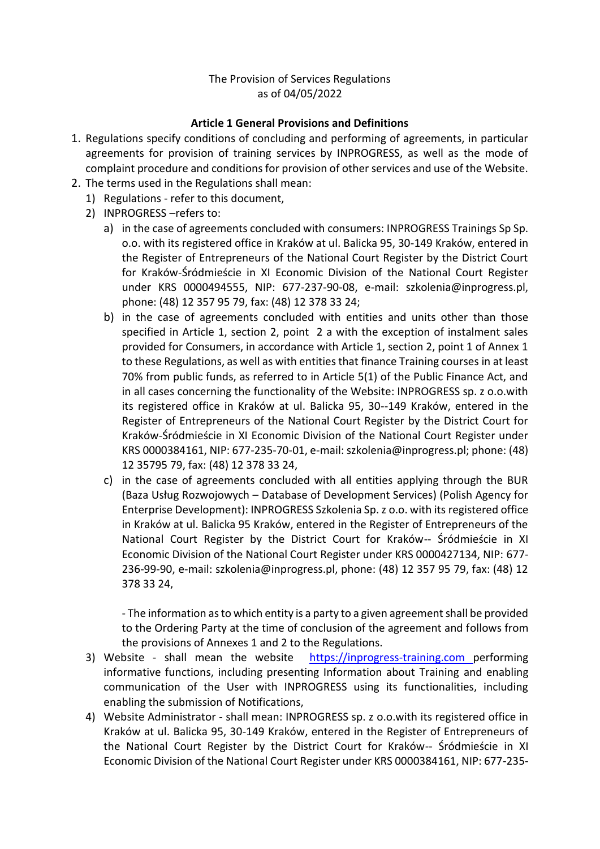### The Provision of Services Regulations as of 04/05/2022

### **Article 1 General Provisions and Definitions**

- 1. Regulations specify conditions of concluding and performing of agreements, in particular agreements for provision of training services by INPROGRESS, as well as the mode of complaint procedure and conditions for provision of other services and use of the Website.
- 2. The terms used in the Regulations shall mean:
	- 1) Regulations refer to this document,
	- 2) INPROGRESS –refers to:
		- a) in the case of agreements concluded with consumers: INPROGRESS Trainings Sp Sp. o.o. with its registered office in Kraków at ul. Balicka 95, 30-149 Kraków, entered in the Register of Entrepreneurs of the National Court Register by the District Court for Kraków-Śródmieście in XI Economic Division of the National Court Register under KRS 0000494555, NIP: 677-237-90-08, e-mail: szkolenia@inprogress.pl, phone: (48) 12 357 95 79, fax: (48) 12 378 33 24;
		- b) in the case of agreements concluded with entities and units other than those specified in Article 1, section 2, point 2 a with the exception of instalment sales provided for Consumers, in accordance with Article 1, section 2, point 1 of Annex 1 to these Regulations, as well as with entities that finance Training courses in at least 70% from public funds, as referred to in Article 5(1) of the Public Finance Act, and in all cases concerning the functionality of the Website: INPROGRESS sp. z o.o.with its registered office in Kraków at ul. Balicka 95, 30--149 Kraków, entered in the Register of Entrepreneurs of the National Court Register by the District Court for Kraków-Śródmieście in XI Economic Division of the National Court Register under KRS 0000384161, NIP: 677-235-70-01, e-mail: szkolenia@inprogress.pl; phone: (48) 12 35795 79, fax: (48) 12 378 33 24,
		- c) in the case of agreements concluded with all entities applying through the BUR (Baza Usług Rozwojowych – Database of Development Services) (Polish Agency for Enterprise Development): INPROGRESS Szkolenia Sp. z o.o. with its registered office in Kraków at ul. Balicka 95 Kraków, entered in the Register of Entrepreneurs of the National Court Register by the District Court for Kraków-- Śródmieście in XI Economic Division of the National Court Register under KRS 0000427134, NIP: 677- 236-99-90, e-mail: szkolenia@inprogress.pl, phone: (48) 12 357 95 79, fax: (48) 12 378 33 24,

- The information as to which entity is a party to a given agreement shall be provided to the Ordering Party at the time of conclusion of the agreement and follows from the provisions of Annexes 1 and 2 to the Regulations.

- 3) Website shall mean the website [https://inprogress-training.com p](http://www.inprogress.pl/)erforming informative functions, including presenting Information about Training and enabling communication of the User with INPROGRESS using its functionalities, including enabling the submission of Notifications,
- 4) Website Administrator shall mean: INPROGRESS sp. z o.o.with its registered office in Kraków at ul. Balicka 95, 30-149 Kraków, entered in the Register of Entrepreneurs of the National Court Register by the District Court for Kraków-- Śródmieście in XI Economic Division of the National Court Register under KRS 0000384161, NIP: 677-235-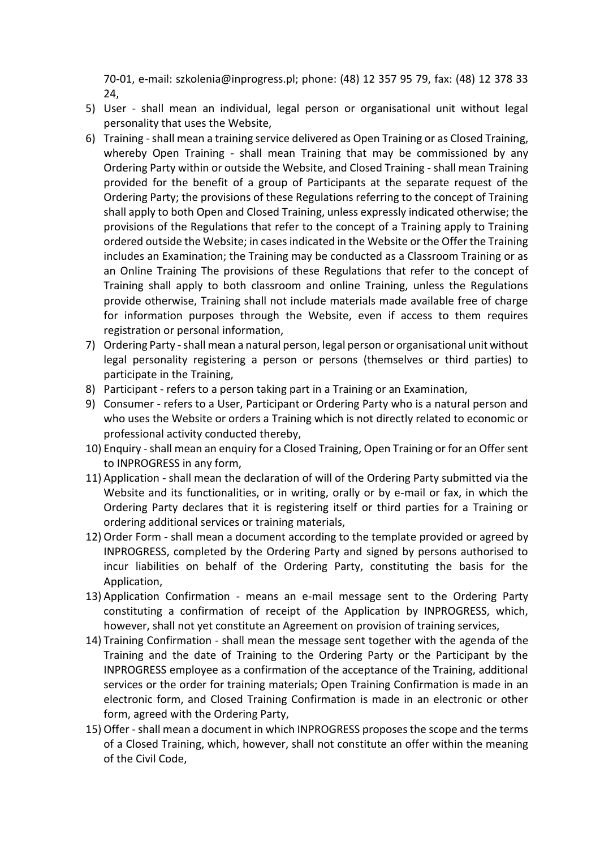70-01, e-mail: szkolenia@inprogress.pl; phone: (48) 12 357 95 79, fax: (48) 12 378 33 24,

- 5) User shall mean an individual, legal person or organisational unit without legal personality that uses the Website,
- 6) Training -shall mean a training service delivered as Open Training or as Closed Training, whereby Open Training - shall mean Training that may be commissioned by any Ordering Party within or outside the Website, and Closed Training - shall mean Training provided for the benefit of a group of Participants at the separate request of the Ordering Party; the provisions of these Regulations referring to the concept of Training shall apply to both Open and Closed Training, unless expressly indicated otherwise; the provisions of the Regulations that refer to the concept of a Training apply to Training ordered outside the Website; in cases indicated in the Website or the Offer the Training includes an Examination; the Training may be conducted as a Classroom Training or as an Online Training The provisions of these Regulations that refer to the concept of Training shall apply to both classroom and online Training, unless the Regulations provide otherwise, Training shall not include materials made available free of charge for information purposes through the Website, even if access to them requires registration or personal information,
- 7) Ordering Party shall mean a natural person, legal person or organisational unit without legal personality registering a person or persons (themselves or third parties) to participate in the Training,
- 8) Participant refers to a person taking part in a Training or an Examination,
- 9) Consumer refers to a User, Participant or Ordering Party who is a natural person and who uses the Website or orders a Training which is not directly related to economic or professional activity conducted thereby,
- 10) Enquiry -shall mean an enquiry for a Closed Training, Open Training or for an Offer sent to INPROGRESS in any form,
- 11) Application shall mean the declaration of will of the Ordering Party submitted via the Website and its functionalities, or in writing, orally or by e-mail or fax, in which the Ordering Party declares that it is registering itself or third parties for a Training or ordering additional services or training materials,
- 12) Order Form shall mean a document according to the template provided or agreed by INPROGRESS, completed by the Ordering Party and signed by persons authorised to incur liabilities on behalf of the Ordering Party, constituting the basis for the Application,
- 13) Application Confirmation means an e-mail message sent to the Ordering Party constituting a confirmation of receipt of the Application by INPROGRESS, which, however, shall not yet constitute an Agreement on provision of training services,
- 14) Training Confirmation shall mean the message sent together with the agenda of the Training and the date of Training to the Ordering Party or the Participant by the INPROGRESS employee as a confirmation of the acceptance of the Training, additional services or the order for training materials; Open Training Confirmation is made in an electronic form, and Closed Training Confirmation is made in an electronic or other form, agreed with the Ordering Party,
- 15) Offer shall mean a document in which INPROGRESS proposes the scope and the terms of a Closed Training, which, however, shall not constitute an offer within the meaning of the Civil Code,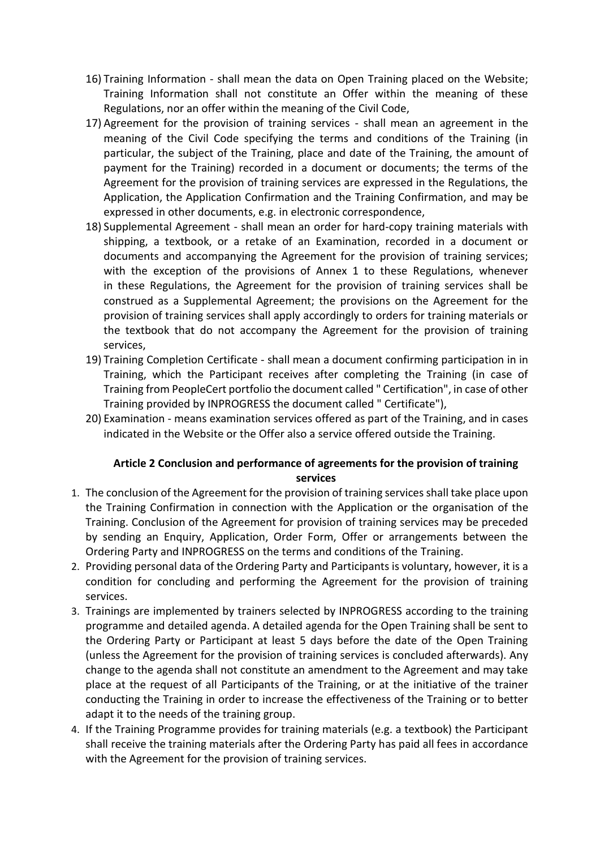- 16) Training Information shall mean the data on Open Training placed on the Website; Training Information shall not constitute an Offer within the meaning of these Regulations, nor an offer within the meaning of the Civil Code,
- 17) Agreement for the provision of training services shall mean an agreement in the meaning of the Civil Code specifying the terms and conditions of the Training (in particular, the subject of the Training, place and date of the Training, the amount of payment for the Training) recorded in a document or documents; the terms of the Agreement for the provision of training services are expressed in the Regulations, the Application, the Application Confirmation and the Training Confirmation, and may be expressed in other documents, e.g. in electronic correspondence,
- 18) Supplemental Agreement shall mean an order for hard-copy training materials with shipping, a textbook, or a retake of an Examination, recorded in a document or documents and accompanying the Agreement for the provision of training services; with the exception of the provisions of Annex 1 to these Regulations, whenever in these Regulations, the Agreement for the provision of training services shall be construed as a Supplemental Agreement; the provisions on the Agreement for the provision of training services shall apply accordingly to orders for training materials or the textbook that do not accompany the Agreement for the provision of training services,
- 19) Training Completion Certificate shall mean a document confirming participation in in Training, which the Participant receives after completing the Training (in case of Training from PeopleCert portfolio the document called " Certification", in case of other Training provided by INPROGRESS the document called " Certificate"),
- 20) Examination means examination services offered as part of the Training, and in cases indicated in the Website or the Offer also a service offered outside the Training.

# **Article 2 Conclusion and performance of agreements for the provision of training services**

- 1. The conclusion of the Agreement for the provision of training services shall take place upon the Training Confirmation in connection with the Application or the organisation of the Training. Conclusion of the Agreement for provision of training services may be preceded by sending an Enquiry, Application, Order Form, Offer or arrangements between the Ordering Party and INPROGRESS on the terms and conditions of the Training.
- 2. Providing personal data of the Ordering Party and Participants is voluntary, however, it is a condition for concluding and performing the Agreement for the provision of training services.
- 3. Trainings are implemented by trainers selected by INPROGRESS according to the training programme and detailed agenda. A detailed agenda for the Open Training shall be sent to the Ordering Party or Participant at least 5 days before the date of the Open Training (unless the Agreement for the provision of training services is concluded afterwards). Any change to the agenda shall not constitute an amendment to the Agreement and may take place at the request of all Participants of the Training, or at the initiative of the trainer conducting the Training in order to increase the effectiveness of the Training or to better adapt it to the needs of the training group.
- 4. If the Training Programme provides for training materials (e.g. a textbook) the Participant shall receive the training materials after the Ordering Party has paid all fees in accordance with the Agreement for the provision of training services.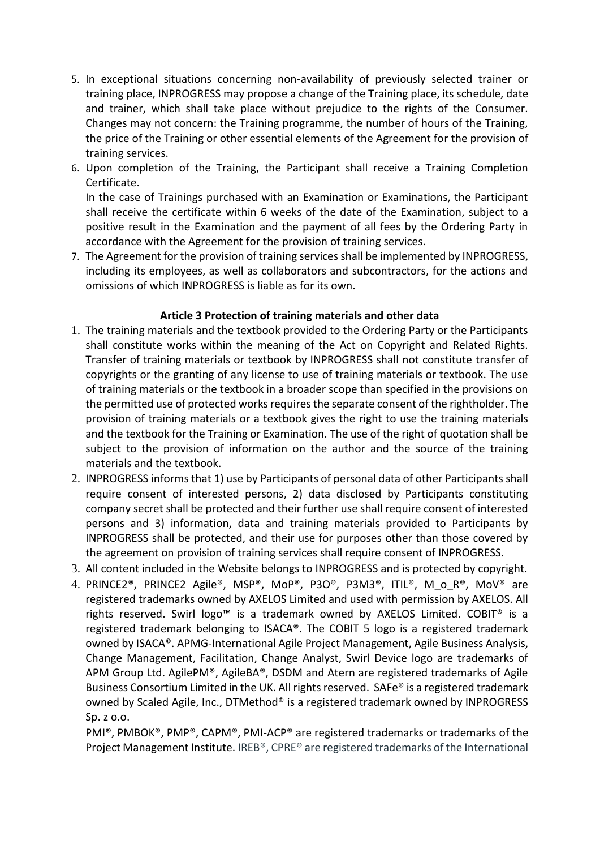- 5. In exceptional situations concerning non-availability of previously selected trainer or training place, INPROGRESS may propose a change of the Training place, its schedule, date and trainer, which shall take place without prejudice to the rights of the Consumer. Changes may not concern: the Training programme, the number of hours of the Training, the price of the Training or other essential elements of the Agreement for the provision of training services.
- 6. Upon completion of the Training, the Participant shall receive a Training Completion Certificate.

In the case of Trainings purchased with an Examination or Examinations, the Participant shall receive the certificate within 6 weeks of the date of the Examination, subject to a positive result in the Examination and the payment of all fees by the Ordering Party in accordance with the Agreement for the provision of training services.

7. The Agreement for the provision of training services shall be implemented by INPROGRESS, including its employees, as well as collaborators and subcontractors, for the actions and omissions of which INPROGRESS is liable as for its own.

#### **Article 3 Protection of training materials and other data**

- 1. The training materials and the textbook provided to the Ordering Party or the Participants shall constitute works within the meaning of the Act on Copyright and Related Rights. Transfer of training materials or textbook by INPROGRESS shall not constitute transfer of copyrights or the granting of any license to use of training materials or textbook. The use of training materials or the textbook in a broader scope than specified in the provisions on the permitted use of protected works requires the separate consent of the rightholder. The provision of training materials or a textbook gives the right to use the training materials and the textbook for the Training or Examination. The use of the right of quotation shall be subject to the provision of information on the author and the source of the training materials and the textbook.
- 2. INPROGRESS informs that 1) use by Participants of personal data of other Participants shall require consent of interested persons, 2) data disclosed by Participants constituting company secret shall be protected and their further use shall require consent of interested persons and 3) information, data and training materials provided to Participants by INPROGRESS shall be protected, and their use for purposes other than those covered by the agreement on provision of training services shall require consent of INPROGRESS.
- 3. All content included in the Website belongs to INPROGRESS and is protected by copyright.
- 4. PRINCE2®, PRINCE2 Agile®, MSP®, MoP®, P3O®, P3M3®, ITIL®, M o R®, MoV® are registered trademarks owned by AXELOS Limited and used with permission by AXELOS. All rights reserved. Swirl logo™ is a trademark owned by AXELOS Limited. COBIT® is a registered trademark belonging to ISACA®. The COBIT 5 logo is a registered trademark owned by ISACA®. APMG-International Agile Project Management, Agile Business Analysis, Change Management, Facilitation, Change Analyst, Swirl Device logo are trademarks of APM Group Ltd. AgilePM®, AgileBA®, DSDM and Atern are registered trademarks of Agile Business Consortium Limited in the UK. All rights reserved. SAFe® is a registered trademark owned by Scaled Agile, Inc., DTMethod® is a registered trademark owned by INPROGRESS Sp. z o.o.

PMI®, PMBOK®, PMP®, CAPM®, PMI-ACP® are registered trademarks or trademarks of the Project Management Institute. IREB®, CPRE® are registered trademarks of the International